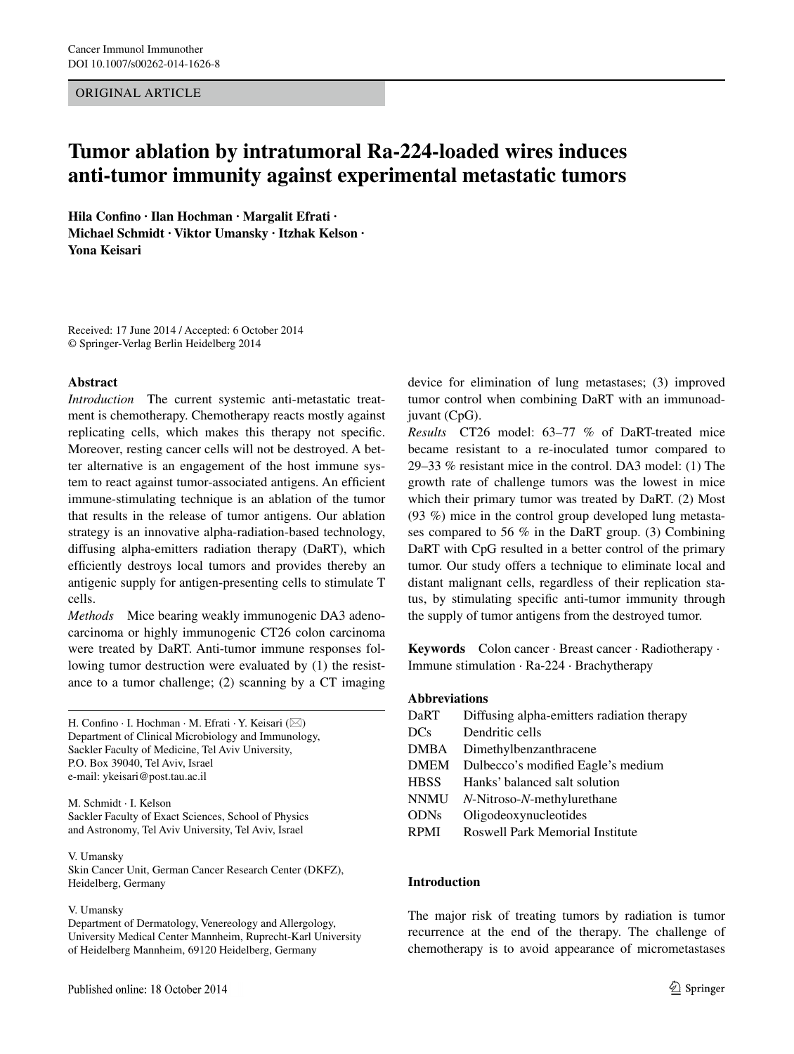## ORIGINAL ARTICLE

# **Tumor ablation by intratumoral Ra-224-loaded wires induces anti-tumor immunity against experimental metastatic tumors**

**Hila Confino · Ilan Hochman · Margalit Efrati · Michael Schmidt · Viktor Umansky · Itzhak Kelson · Yona Keisari**

Received: 17 June 2014 / Accepted: 6 October 2014 © Springer-Verlag Berlin Heidelberg 2014

## **Abstract**

*Introduction* The current systemic anti-metastatic treatment is chemotherapy. Chemotherapy reacts mostly against replicating cells, which makes this therapy not specific. Moreover, resting cancer cells will not be destroyed. A better alternative is an engagement of the host immune system to react against tumor-associated antigens. An efficient immune-stimulating technique is an ablation of the tumor that results in the release of tumor antigens. Our ablation strategy is an innovative alpha-radiation-based technology, diffusing alpha-emitters radiation therapy (DaRT), which efficiently destroys local tumors and provides thereby an antigenic supply for antigen-presenting cells to stimulate T cells.

*Methods* Mice bearing weakly immunogenic DA3 adenocarcinoma or highly immunogenic CT26 colon carcinoma were treated by DaRT. Anti-tumor immune responses following tumor destruction were evaluated by (1) the resistance to a tumor challenge; (2) scanning by a CT imaging

H. Confino  $\cdot$  I. Hochman  $\cdot$  M. Efrati  $\cdot$  Y. Keisari ( $\boxtimes$ ) Department of Clinical Microbiology and Immunology, Sackler Faculty of Medicine, Tel Aviv University, P.O. Box 39040, Tel Aviv, Israel e-mail: ykeisari@post.tau.ac.il

M. Schmidt · I. Kelson Sackler Faculty of Exact Sciences, School of Physics and Astronomy, Tel Aviv University, Tel Aviv, Israel

#### V. Umansky

Skin Cancer Unit, German Cancer Research Center (DKFZ), Heidelberg, Germany

#### V. Umansky

Department of Dermatology, Venereology and Allergology, University Medical Center Mannheim, Ruprecht-Karl University of Heidelberg Mannheim, 69120 Heidelberg, Germany

device for elimination of lung metastases; (3) improved tumor control when combining DaRT with an immunoadjuvant (CpG).

*Results* CT26 model: 63–77 % of DaRT-treated mice became resistant to a re-inoculated tumor compared to 29–33 % resistant mice in the control. DA3 model: (1) The growth rate of challenge tumors was the lowest in mice which their primary tumor was treated by DaRT. (2) Most (93 %) mice in the control group developed lung metastases compared to 56 % in the DaRT group. (3) Combining DaRT with CpG resulted in a better control of the primary tumor. Our study offers a technique to eliminate local and distant malignant cells, regardless of their replication status, by stimulating specific anti-tumor immunity through the supply of tumor antigens from the destroyed tumor.

**Keywords** Colon cancer · Breast cancer · Radiotherapy · Immune stimulation · Ra-224 · Brachytherapy

## **Abbreviations**

| DaRT        | Diffusing alpha-emitters radiation therapy |  |  |
|-------------|--------------------------------------------|--|--|
| <b>DCs</b>  | Dendritic cells                            |  |  |
| <b>DMBA</b> | Dimethylbenzanthracene                     |  |  |
| <b>DMEM</b> | Dulbecco's modified Eagle's medium         |  |  |
| <b>HBSS</b> | Hanks' balanced salt solution              |  |  |
| <b>NNMU</b> | N-Nitroso-N-methylurethane                 |  |  |
| <b>ODNs</b> | Oligodeoxynucleotides                      |  |  |
| <b>RPMI</b> | Roswell Park Memorial Institute            |  |  |
|             |                                            |  |  |

#### **Introduction**

The major risk of treating tumors by radiation is tumor recurrence at the end of the therapy. The challenge of chemotherapy is to avoid appearance of micrometastases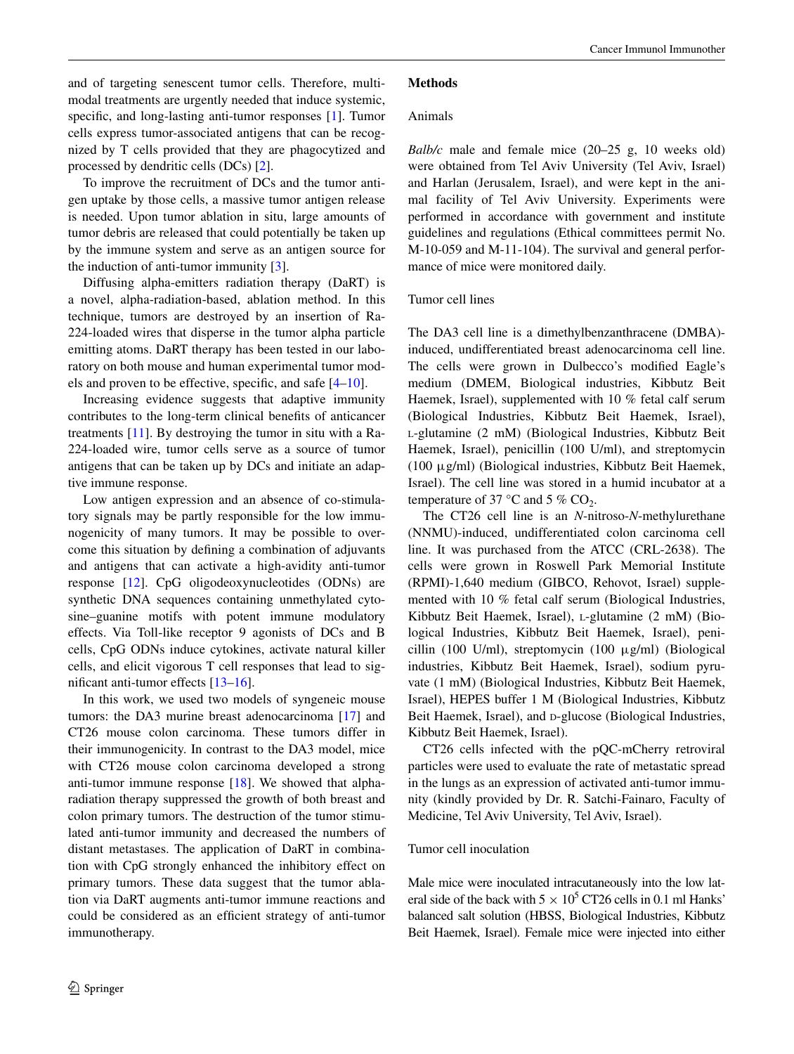and of targeting senescent tumor cells. Therefore, multimodal treatments are urgently needed that induce systemic, specific, and long-lasting anti-tumor responses [\[1](#page-7-0)]. Tumor cells express tumor-associated antigens that can be recognized by T cells provided that they are phagocytized and processed by dendritic cells (DCs) [[2\]](#page-7-1).

To improve the recruitment of DCs and the tumor antigen uptake by those cells, a massive tumor antigen release is needed. Upon tumor ablation in situ, large amounts of tumor debris are released that could potentially be taken up by the immune system and serve as an antigen source for the induction of anti-tumor immunity [\[3](#page-7-2)].

Diffusing alpha-emitters radiation therapy (DaRT) is a novel, alpha-radiation-based, ablation method. In this technique, tumors are destroyed by an insertion of Ra-224-loaded wires that disperse in the tumor alpha particle emitting atoms. DaRT therapy has been tested in our laboratory on both mouse and human experimental tumor models and proven to be effective, specific, and safe [\[4](#page-7-3)[–10](#page-7-4)].

Increasing evidence suggests that adaptive immunity contributes to the long-term clinical benefits of anticancer treatments [[11\]](#page-7-5). By destroying the tumor in situ with a Ra-224-loaded wire, tumor cells serve as a source of tumor antigens that can be taken up by DCs and initiate an adaptive immune response.

Low antigen expression and an absence of co-stimulatory signals may be partly responsible for the low immunogenicity of many tumors. It may be possible to overcome this situation by defining a combination of adjuvants and antigens that can activate a high-avidity anti-tumor response [\[12](#page-7-6)]. CpG oligodeoxynucleotides (ODNs) are synthetic DNA sequences containing unmethylated cytosine–guanine motifs with potent immune modulatory effects. Via Toll-like receptor 9 agonists of DCs and B cells, CpG ODNs induce cytokines, activate natural killer cells, and elicit vigorous T cell responses that lead to significant anti-tumor effects [\[13](#page-7-7)[–16](#page-7-8)].

In this work, we used two models of syngeneic mouse tumors: the DA3 murine breast adenocarcinoma [\[17](#page-7-9)] and CT26 mouse colon carcinoma. These tumors differ in their immunogenicity. In contrast to the DA3 model, mice with CT26 mouse colon carcinoma developed a strong anti-tumor immune response [\[18](#page-7-10)]. We showed that alpharadiation therapy suppressed the growth of both breast and colon primary tumors. The destruction of the tumor stimulated anti-tumor immunity and decreased the numbers of distant metastases. The application of DaRT in combination with CpG strongly enhanced the inhibitory effect on primary tumors. These data suggest that the tumor ablation via DaRT augments anti-tumor immune reactions and could be considered as an efficient strategy of anti-tumor immunotherapy.

#### **Methods**

## Animals

*Balb/c* male and female mice (20–25 g, 10 weeks old) were obtained from Tel Aviv University (Tel Aviv, Israel) and Harlan (Jerusalem, Israel), and were kept in the animal facility of Tel Aviv University. Experiments were performed in accordance with government and institute guidelines and regulations (Ethical committees permit No. M-10-059 and M-11-104). The survival and general performance of mice were monitored daily.

#### Tumor cell lines

The DA3 cell line is a dimethylbenzanthracene (DMBA) induced, undifferentiated breast adenocarcinoma cell line. The cells were grown in Dulbecco's modified Eagle's medium (DMEM, Biological industries, Kibbutz Beit Haemek, Israel), supplemented with 10 % fetal calf serum (Biological Industries, Kibbutz Beit Haemek, Israel), <sup>l</sup>-glutamine (2 mM) (Biological Industries, Kibbutz Beit Haemek, Israel), penicillin (100 U/ml), and streptomycin (100 μg/ml) (Biological industries, Kibbutz Beit Haemek, Israel). The cell line was stored in a humid incubator at a temperature of 37 °C and 5 %  $CO_2$ .

The CT26 cell line is an *N*-nitroso-*N*-methylurethane (NNMU)-induced, undifferentiated colon carcinoma cell line. It was purchased from the ATCC (CRL-2638). The cells were grown in Roswell Park Memorial Institute (RPMI)-1,640 medium (GIBCO, Rehovot, Israel) supplemented with 10 % fetal calf serum (Biological Industries, Kibbutz Beit Haemek, Israel), L-glutamine (2 mM) (Biological Industries, Kibbutz Beit Haemek, Israel), penicillin (100 U/ml), streptomycin (100 μg/ml) (Biological industries, Kibbutz Beit Haemek, Israel), sodium pyruvate (1 mM) (Biological Industries, Kibbutz Beit Haemek, Israel), HEPES buffer 1 M (Biological Industries, Kibbutz Beit Haemek, Israel), and p-glucose (Biological Industries, Kibbutz Beit Haemek, Israel).

CT26 cells infected with the pQC-mCherry retroviral particles were used to evaluate the rate of metastatic spread in the lungs as an expression of activated anti-tumor immunity (kindly provided by Dr. R. Satchi-Fainaro, Faculty of Medicine, Tel Aviv University, Tel Aviv, Israel).

#### Tumor cell inoculation

Male mice were inoculated intracutaneously into the low lateral side of the back with  $5 \times 10^5$  CT26 cells in 0.1 ml Hanks' balanced salt solution (HBSS, Biological Industries, Kibbutz Beit Haemek, Israel). Female mice were injected into either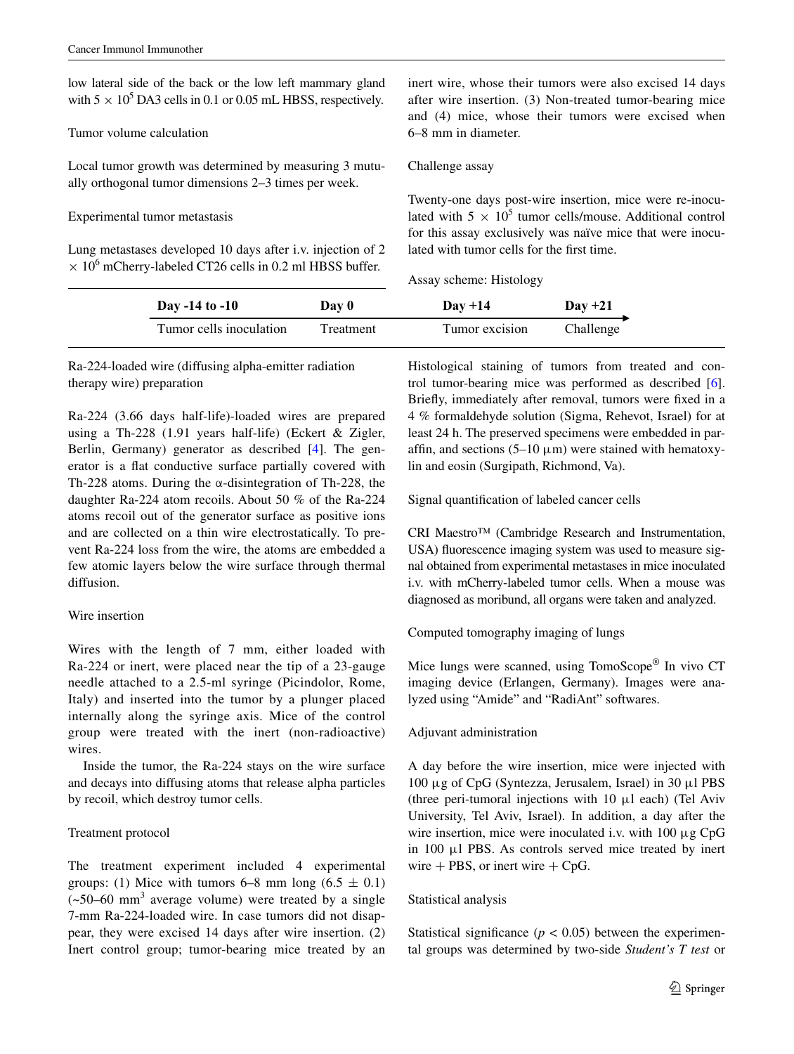low lateral side of the back or the low left mammary gland with  $5 \times 10^5$  DA3 cells in 0.1 or 0.05 mL HBSS, respectively.

### Tumor volume calculation

Local tumor growth was determined by measuring 3 mutually orthogonal tumor dimensions 2–3 times per week.

## Experimental tumor metastasis

Lung metastases developed 10 days after i.v. injection of 2  $\times$  10<sup>6</sup> mCherry-labeled CT26 cells in 0.2 ml HBSS buffer.

inert wire, whose their tumors were also excised 14 days after wire insertion. (3) Non-treated tumor-bearing mice and (4) mice, whose their tumors were excised when 6–8 mm in diameter.

#### Challenge assay

Twenty-one days post-wire insertion, mice were re-inoculated with  $5 \times 10^5$  tumor cells/mouse. Additional control for this assay exclusively was naïve mice that were inoculated with tumor cells for the first time.

Assay scheme: Histology

| Day -14 to -10          | Day 0     | $Day + 14$     | $Day +21$ |
|-------------------------|-----------|----------------|-----------|
| Tumor cells inoculation | Treatment | Tumor excision | Challenge |

Ra-224-loaded wire (diffusing alpha-emitter radiation therapy wire) preparation

Ra-224 (3.66 days half-life)-loaded wires are prepared using a Th-228 (1.91 years half-life) (Eckert & Zigler, Berlin, Germany) generator as described [\[4](#page-7-3)]. The generator is a flat conductive surface partially covered with Th-228 atoms. During the  $\alpha$ -disintegration of Th-228, the daughter Ra-224 atom recoils. About 50 % of the Ra-224 atoms recoil out of the generator surface as positive ions and are collected on a thin wire electrostatically. To prevent Ra-224 loss from the wire, the atoms are embedded a few atomic layers below the wire surface through thermal diffusion.

## Wire insertion

Wires with the length of 7 mm, either loaded with Ra-224 or inert, were placed near the tip of a 23-gauge needle attached to a 2.5-ml syringe (Picindolor, Rome, Italy) and inserted into the tumor by a plunger placed internally along the syringe axis. Mice of the control group were treated with the inert (non-radioactive) wires.

Inside the tumor, the Ra-224 stays on the wire surface and decays into diffusing atoms that release alpha particles by recoil, which destroy tumor cells.

## Treatment protocol

The treatment experiment included 4 experimental groups: (1) Mice with tumors 6–8 mm long  $(6.5 \pm 0.1)$  $(-50-60$  mm<sup>3</sup> average volume) were treated by a single 7-mm Ra-224-loaded wire. In case tumors did not disappear, they were excised 14 days after wire insertion. (2) Inert control group; tumor-bearing mice treated by an

Histological staining of tumors from treated and control tumor-bearing mice was performed as described [\[6](#page-7-11)]. Briefly, immediately after removal, tumors were fixed in a 4 % formaldehyde solution (Sigma, Rehevot, Israel) for at least 24 h. The preserved specimens were embedded in paraffin, and sections  $(5-10 \mu m)$  were stained with hematoxylin and eosin (Surgipath, Richmond, Va).

Signal quantification of labeled cancer cells

CRI Maestro™ (Cambridge Research and Instrumentation, USA) fluorescence imaging system was used to measure signal obtained from experimental metastases in mice inoculated i.v. with mCherry-labeled tumor cells. When a mouse was diagnosed as moribund, all organs were taken and analyzed.

Computed tomography imaging of lungs

Mice lungs were scanned, using TomoScope® In vivo CT imaging device (Erlangen, Germany). Images were analyzed using "Amide" and "RadiAnt" softwares.

## Adjuvant administration

A day before the wire insertion, mice were injected with 100 μg of CpG (Syntezza, Jerusalem, Israel) in 30 μl PBS (three peri-tumoral injections with 10 μl each) (Tel Aviv University, Tel Aviv, Israel). In addition, a day after the wire insertion, mice were inoculated i.v. with 100 μg CpG in 100 μl PBS. As controls served mice treated by inert wire  $+$  PBS, or inert wire  $+$  CpG.

## Statistical analysis

Statistical significance  $(p < 0.05)$  between the experimental groups was determined by two-side *Student's T test* or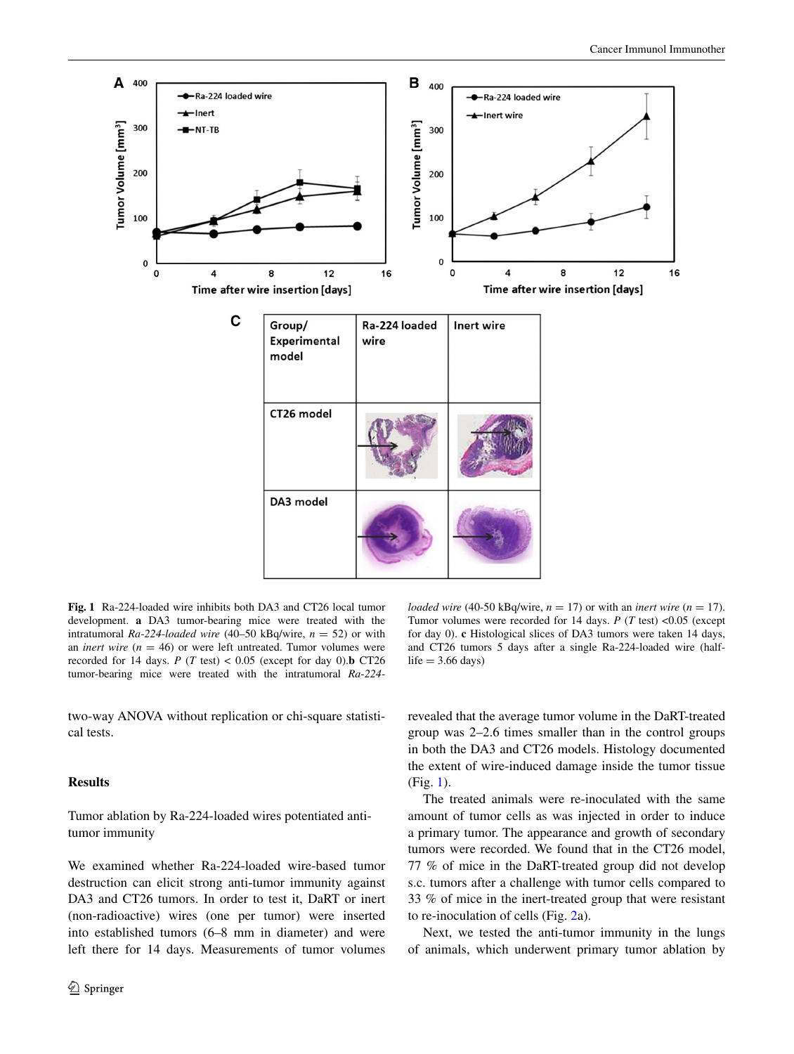

<span id="page-3-0"></span>**Fig. 1** Ra-224-loaded wire inhibits both DA3 and CT26 local tumor development. **a** DA3 tumor-bearing mice were treated with the intratumoral *Ra*-*224*-*loaded wire* (40–50 kBq/wire, *n* = 52) or with an *inert wire*  $(n = 46)$  or were left untreated. Tumor volumes were recorded for 14 days.  $P(T \text{ test}) < 0.05$  (except for day 0).**b** CT26 tumor-bearing mice were treated with the intratumoral *Ra*-*224*-

two-way ANOVA without replication or chi-square statistical tests.

## **Results**

# Tumor ablation by Ra-224-loaded wires potentiated antitumor immunity

We examined whether Ra-224-loaded wire-based tumor destruction can elicit strong anti-tumor immunity against DA3 and CT26 tumors. In order to test it, DaRT or inert (non-radioactive) wires (one per tumor) were inserted into established tumors (6–8 mm in diameter) and were left there for 14 days. Measurements of tumor volumes

*loaded wire* (40-50 kBq/wire,  $n = 17$ ) or with an *inert wire* ( $n = 17$ ). Tumor volumes were recorded for 14 days. *P* (*T* test) <0.05 (except for day 0). **c** Histological slices of DA3 tumors were taken 14 days, and CT26 tumors 5 days after a single Ra-224-loaded wire (half $life = 3.66 \text{ days}$ 

revealed that the average tumor volume in the DaRT-treated group was 2–2.6 times smaller than in the control groups in both the DA3 and CT26 models. Histology documented the extent of wire-induced damage inside the tumor tissue (Fig. [1\)](#page-3-0).

The treated animals were re-inoculated with the same amount of tumor cells as was injected in order to induce a primary tumor. The appearance and growth of secondary tumors were recorded. We found that in the CT26 model, 77 % of mice in the DaRT-treated group did not develop s.c. tumors after a challenge with tumor cells compared to 33 % of mice in the inert-treated group that were resistant to re-inoculation of cells (Fig. [2](#page-4-0)a).

Next, we tested the anti-tumor immunity in the lungs of animals, which underwent primary tumor ablation by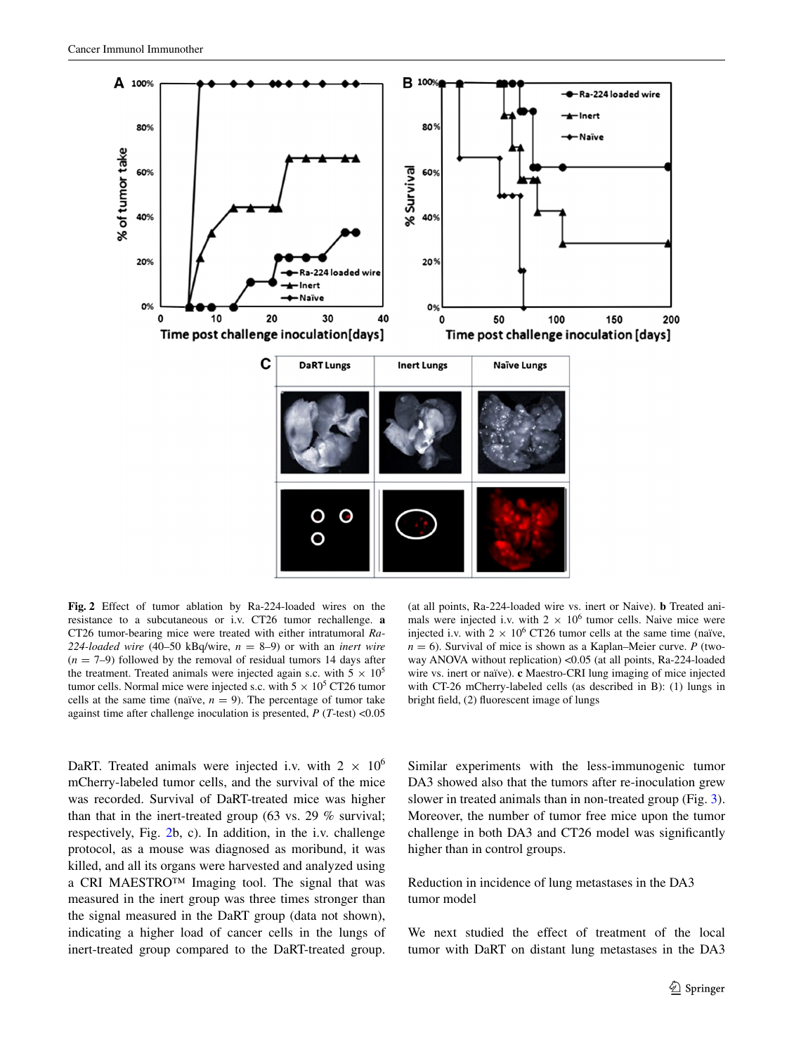

<span id="page-4-0"></span>**Fig. 2** Effect of tumor ablation by Ra-224-loaded wires on the resistance to a subcutaneous or i.v. CT26 tumor rechallenge. **a** CT26 tumor-bearing mice were treated with either intratumoral *Ra*-224-loaded wire  $(40-50 \text{ kBq/wire}, n = 8-9)$  or with an *inert wire*  $(n = 7-9)$  followed by the removal of residual tumors 14 days after the treatment. Treated animals were injected again s.c. with  $5 \times 10^5$ tumor cells. Normal mice were injected s.c. with  $5 \times 10^5$  CT26 tumor cells at the same time (naïve,  $n = 9$ ). The percentage of tumor take against time after challenge inoculation is presented, *P* (*T*-test) <0.05

DaRT. Treated animals were injected i.v. with  $2 \times 10^6$ mCherry-labeled tumor cells, and the survival of the mice was recorded. Survival of DaRT-treated mice was higher than that in the inert-treated group (63 vs. 29 % survival; respectively, Fig. [2b](#page-4-0), c). In addition, in the i.v. challenge protocol, as a mouse was diagnosed as moribund, it was killed, and all its organs were harvested and analyzed using a CRI MAESTRO™ Imaging tool. The signal that was measured in the inert group was three times stronger than the signal measured in the DaRT group (data not shown), indicating a higher load of cancer cells in the lungs of inert-treated group compared to the DaRT-treated group.

(at all points, Ra-224-loaded wire vs. inert or Naive). **b** Treated animals were injected i.v. with  $2 \times 10^6$  tumor cells. Naive mice were injected i.v. with  $2 \times 10^6$  CT26 tumor cells at the same time (naïve,  $n = 6$ ). Survival of mice is shown as a Kaplan–Meier curve. *P* (twoway ANOVA without replication) <0.05 (at all points, Ra-224-loaded wire vs. inert or naïve). **c** Maestro-CRI lung imaging of mice injected with CT-26 mCherry-labeled cells (as described in B): (1) lungs in bright field, (2) fluorescent image of lungs

Similar experiments with the less-immunogenic tumor DA3 showed also that the tumors after re-inoculation grew slower in treated animals than in non-treated group (Fig. [3](#page-5-0)). Moreover, the number of tumor free mice upon the tumor challenge in both DA3 and CT26 model was significantly higher than in control groups.

Reduction in incidence of lung metastases in the DA3 tumor model

We next studied the effect of treatment of the local tumor with DaRT on distant lung metastases in the DA3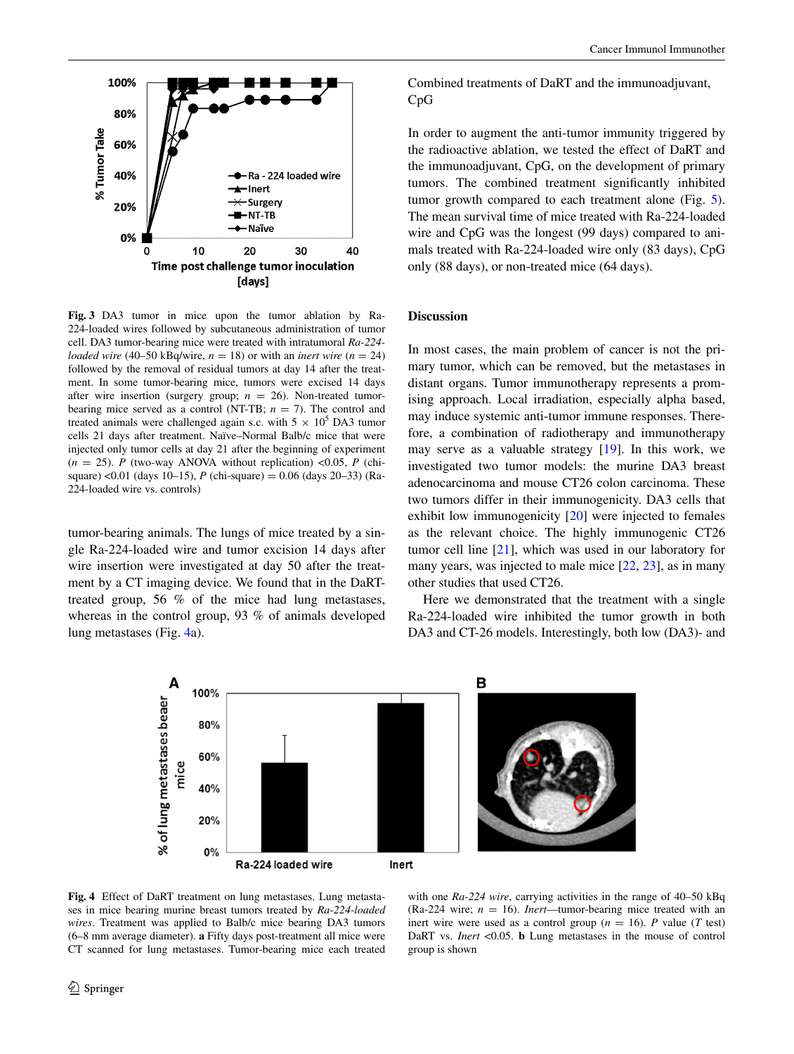

<span id="page-5-0"></span>**Fig. 3** DA3 tumor in mice upon the tumor ablation by Ra-224-loaded wires followed by subcutaneous administration of tumor cell. DA3 tumor-bearing mice were treated with intratumoral *Ra*-*224 loaded wire* (40–50 kBq/wire,  $n = 18$ ) or with an *inert wire* ( $n = 24$ ) followed by the removal of residual tumors at day 14 after the treatment. In some tumor-bearing mice, tumors were excised 14 days after wire insertion (surgery group; *n* = 26). Non-treated tumorbearing mice served as a control (NT-TB;  $n = 7$ ). The control and treated animals were challenged again s.c. with  $5 \times 10^5$  DA3 tumor cells 21 days after treatment. Naïve–Normal Balb/c mice that were injected only tumor cells at day 21 after the beginning of experiment  $(n = 25)$ . *P* (two-way ANOVA without replication) <0.05, *P* (chisquare) <0.01 (days 10–15), *P* (chi-square) = 0.06 (days 20–33) (Ra-224-loaded wire vs. controls)

tumor-bearing animals. The lungs of mice treated by a single Ra-224-loaded wire and tumor excision 14 days after wire insertion were investigated at day 50 after the treatment by a CT imaging device. We found that in the DaRTtreated group, 56 % of the mice had lung metastases, whereas in the control group, 93 % of animals developed lung metastases (Fig. [4](#page-5-1)a).

Combined treatments of DaRT and the immunoadjuvant, CpG

In order to augment the anti-tumor immunity triggered by the radioactive ablation, we tested the effect of DaRT and the immunoadjuvant, CpG, on the development of primary tumors. The combined treatment significantly inhibited tumor growth compared to each treatment alone (Fig. [5](#page-6-0)). The mean survival time of mice treated with Ra-224-loaded wire and CpG was the longest (99 days) compared to animals treated with Ra-224-loaded wire only (83 days), CpG only (88 days), or non-treated mice (64 days).

## **Discussion**

In most cases, the main problem of cancer is not the primary tumor, which can be removed, but the metastases in distant organs. Tumor immunotherapy represents a promising approach. Local irradiation, especially alpha based, may induce systemic anti-tumor immune responses. Therefore, a combination of radiotherapy and immunotherapy may serve as a valuable strategy [[19\]](#page-7-12). In this work, we investigated two tumor models: the murine DA3 breast adenocarcinoma and mouse CT26 colon carcinoma. These two tumors differ in their immunogenicity. DA3 cells that exhibit low immunogenicity [[20\]](#page-7-13) were injected to females as the relevant choice. The highly immunogenic CT26 tumor cell line [[21\]](#page-7-14), which was used in our laboratory for many years, was injected to male mice [\[22](#page-7-15), [23](#page-7-16)], as in many other studies that used CT26.

Here we demonstrated that the treatment with a single Ra-224-loaded wire inhibited the tumor growth in both DA3 and CT-26 models. Interestingly, both low (DA3)- and



<span id="page-5-1"></span>**Fig. 4** Effect of DaRT treatment on lung metastases. Lung metastases in mice bearing murine breast tumors treated by *Ra*-*224-loaded wires*. Treatment was applied to Balb/c mice bearing DA3 tumors (6–8 mm average diameter). **a** Fifty days post-treatment all mice were CT scanned for lung metastases. Tumor-bearing mice each treated

with one *Ra*-*224 wire*, carrying activities in the range of 40–50 kBq (Ra-224 wire;  $n = 16$ ). *Inert*—tumor-bearing mice treated with an inert wire were used as a control group ( $n = 16$ ). *P* value (*T* test) DaRT vs. *Inert* <0.05. **b** Lung metastases in the mouse of control group is shown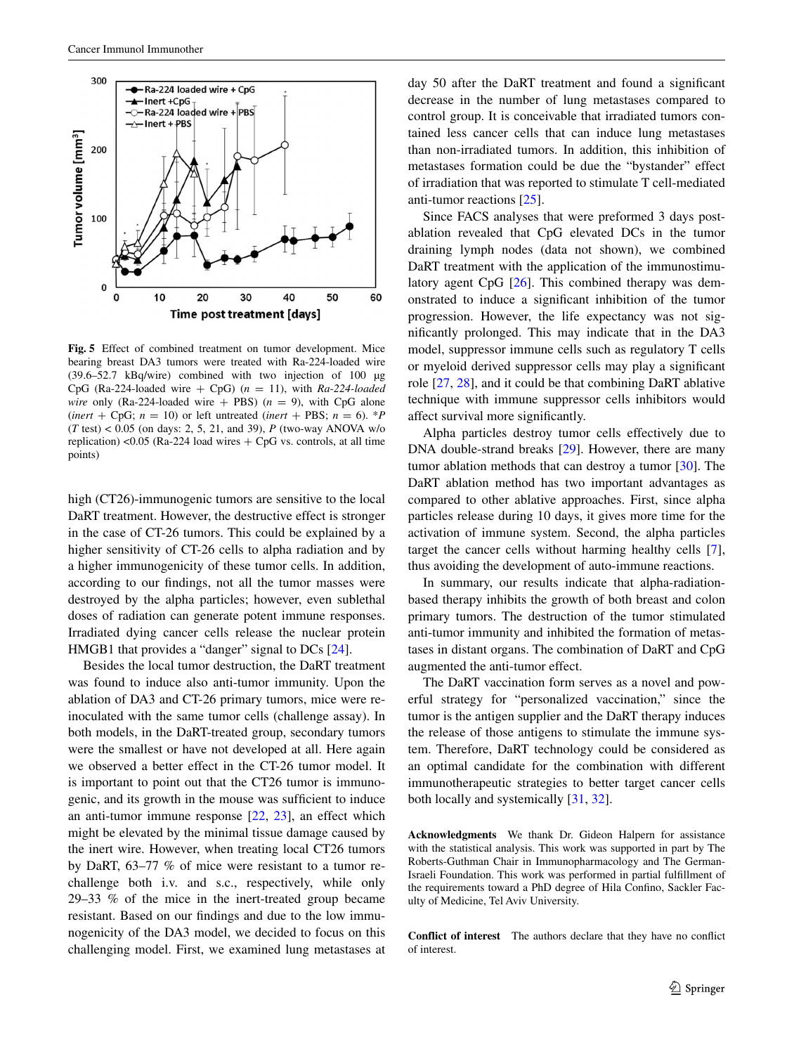

<span id="page-6-0"></span>**Fig. 5** Effect of combined treatment on tumor development. Mice bearing breast DA3 tumors were treated with Ra-224-loaded wire (39.6–52.7 kBq/wire) combined with two injection of 100 µg CpG (Ra-224-loaded wire  $+$  CpG) ( $n = 11$ ), with *Ra-224-loaded wire* only (Ra-224-loaded wire  $+$  PBS) ( $n = 9$ ), with CpG alone (*inert* + CpG;  $n = 10$ ) or left untreated (*inert* + PBS;  $n = 6$ ). \**P* (*T* test) < 0.05 (on days: 2, 5, 21, and 39), *P* (two-way ANOVA w/o replication) <0.05 (Ra-224 load wires  $+$  CpG vs. controls, at all time points)

high (CT26)-immunogenic tumors are sensitive to the local DaRT treatment. However, the destructive effect is stronger in the case of CT-26 tumors. This could be explained by a higher sensitivity of CT-26 cells to alpha radiation and by a higher immunogenicity of these tumor cells. In addition, according to our findings, not all the tumor masses were destroyed by the alpha particles; however, even sublethal doses of radiation can generate potent immune responses. Irradiated dying cancer cells release the nuclear protein HMGB1 that provides a "danger" signal to DCs [[24\]](#page-7-17).

Besides the local tumor destruction, the DaRT treatment was found to induce also anti-tumor immunity. Upon the ablation of DA3 and CT-26 primary tumors, mice were reinoculated with the same tumor cells (challenge assay). In both models, in the DaRT-treated group, secondary tumors were the smallest or have not developed at all. Here again we observed a better effect in the CT-26 tumor model. It is important to point out that the CT26 tumor is immunogenic, and its growth in the mouse was sufficient to induce an anti-tumor immune response [\[22](#page-7-15), [23](#page-7-16)], an effect which might be elevated by the minimal tissue damage caused by the inert wire. However, when treating local CT26 tumors by DaRT, 63–77 % of mice were resistant to a tumor rechallenge both i.v. and s.c., respectively, while only 29–33 % of the mice in the inert-treated group became resistant. Based on our findings and due to the low immunogenicity of the DA3 model, we decided to focus on this challenging model. First, we examined lung metastases at day 50 after the DaRT treatment and found a significant decrease in the number of lung metastases compared to control group. It is conceivable that irradiated tumors contained less cancer cells that can induce lung metastases than non-irradiated tumors. In addition, this inhibition of metastases formation could be due the "bystander" effect of irradiation that was reported to stimulate T cell-mediated anti-tumor reactions [[25\]](#page-7-18).

Since FACS analyses that were preformed 3 days postablation revealed that CpG elevated DCs in the tumor draining lymph nodes (data not shown), we combined DaRT treatment with the application of the immunostimulatory agent CpG [\[26](#page-7-19)]. This combined therapy was demonstrated to induce a significant inhibition of the tumor progression. However, the life expectancy was not significantly prolonged. This may indicate that in the DA3 model, suppressor immune cells such as regulatory T cells or myeloid derived suppressor cells may play a significant role [[27,](#page-7-20) [28\]](#page-7-21), and it could be that combining DaRT ablative technique with immune suppressor cells inhibitors would affect survival more significantly.

Alpha particles destroy tumor cells effectively due to DNA double-strand breaks [\[29](#page-7-22)]. However, there are many tumor ablation methods that can destroy a tumor [\[30](#page-7-23)]. The DaRT ablation method has two important advantages as compared to other ablative approaches. First, since alpha particles release during 10 days, it gives more time for the activation of immune system. Second, the alpha particles target the cancer cells without harming healthy cells [\[7](#page-7-24)], thus avoiding the development of auto-immune reactions.

In summary, our results indicate that alpha-radiationbased therapy inhibits the growth of both breast and colon primary tumors. The destruction of the tumor stimulated anti-tumor immunity and inhibited the formation of metastases in distant organs. The combination of DaRT and CpG augmented the anti-tumor effect.

The DaRT vaccination form serves as a novel and powerful strategy for "personalized vaccination," since the tumor is the antigen supplier and the DaRT therapy induces the release of those antigens to stimulate the immune system. Therefore, DaRT technology could be considered as an optimal candidate for the combination with different immunotherapeutic strategies to better target cancer cells both locally and systemically [[31,](#page-8-0) [32\]](#page-8-1).

**Acknowledgments** We thank Dr. Gideon Halpern for assistance with the statistical analysis. This work was supported in part by The Roberts-Guthman Chair in Immunopharmacology and The German-Israeli Foundation. This work was performed in partial fulfillment of the requirements toward a PhD degree of Hila Confino, Sackler Faculty of Medicine, Tel Aviv University.

**Conflict of interest** The authors declare that they have no conflict of interest.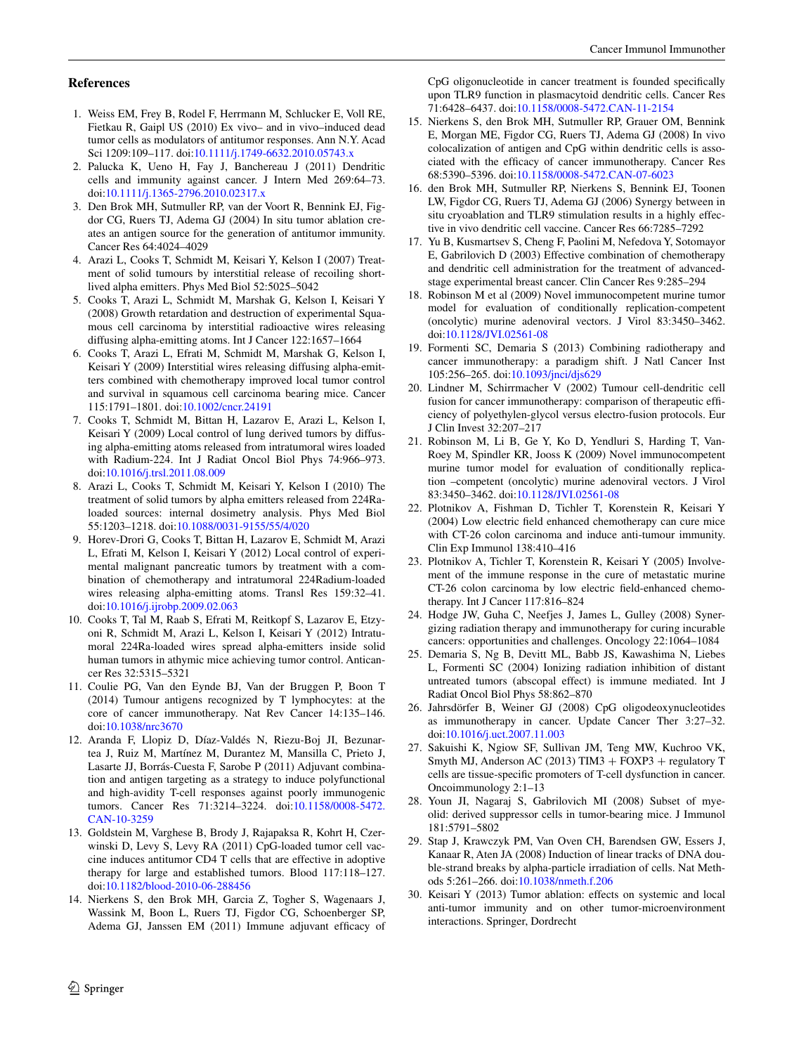### **References**

- <span id="page-7-0"></span>1. Weiss EM, Frey B, Rodel F, Herrmann M, Schlucker E, Voll RE, Fietkau R, Gaipl US (2010) Ex vivo– and in vivo–induced dead tumor cells as modulators of antitumor responses. Ann N.Y. Acad Sci 1209:109–117. doi:[10.1111/j.1749-6632.2010.05743.x](http://dx.doi.org/10.1111/j.1749-6632.2010.05743.x)
- <span id="page-7-1"></span>2. Palucka K, Ueno H, Fay J, Banchereau J (2011) Dendritic cells and immunity against cancer. J Intern Med 269:64–73. doi[:10.1111/j.1365-2796.2010.02317.x](http://dx.doi.org/10.1111/j.1365-2796.2010.02317.x)
- <span id="page-7-2"></span>3. Den Brok MH, Sutmuller RP, van der Voort R, Bennink EJ, Figdor CG, Ruers TJ, Adema GJ (2004) In situ tumor ablation creates an antigen source for the generation of antitumor immunity. Cancer Res 64:4024–4029
- <span id="page-7-3"></span>4. Arazi L, Cooks T, Schmidt M, Keisari Y, Kelson I (2007) Treatment of solid tumours by interstitial release of recoiling shortlived alpha emitters. Phys Med Biol 52:5025–5042
- 5. Cooks T, Arazi L, Schmidt M, Marshak G, Kelson I, Keisari Y (2008) Growth retardation and destruction of experimental Squamous cell carcinoma by interstitial radioactive wires releasing diffusing alpha-emitting atoms. Int J Cancer 122:1657–1664
- <span id="page-7-11"></span>6. Cooks T, Arazi L, Efrati M, Schmidt M, Marshak G, Kelson I, Keisari Y (2009) Interstitial wires releasing diffusing alpha-emitters combined with chemotherapy improved local tumor control and survival in squamous cell carcinoma bearing mice. Cancer 115:1791–1801. doi:[10.1002/cncr.24191](http://dx.doi.org/10.1002/cncr.24191)
- <span id="page-7-24"></span>7. Cooks T, Schmidt M, Bittan H, Lazarov E, Arazi L, Kelson I, Keisari Y (2009) Local control of lung derived tumors by diffusing alpha-emitting atoms released from intratumoral wires loaded with Radium-224. Int J Radiat Oncol Biol Phys 74:966–973. doi[:10.1016/j.trsl.2011.08.009](http://dx.doi.org/10.1016/j.trsl.2011.08.009)
- 8. Arazi L, Cooks T, Schmidt M, Keisari Y, Kelson I (2010) The treatment of solid tumors by alpha emitters released from 224Raloaded sources: internal dosimetry analysis. Phys Med Biol 55:1203–1218. doi:[10.1088/0031-9155/55/4/020](http://dx.doi.org/10.1088/0031-9155/55/4/020)
- 9. Horev-Drori G, Cooks T, Bittan H, Lazarov E, Schmidt M, Arazi L, Efrati M, Kelson I, Keisari Y (2012) Local control of experimental malignant pancreatic tumors by treatment with a combination of chemotherapy and intratumoral 224Radium-loaded wires releasing alpha-emitting atoms. Transl Res 159:32–41. doi[:10.1016/j.ijrobp.2009.02.063](http://dx.doi.org/10.1016/j.ijrobp.2009.02.063)
- <span id="page-7-4"></span>10. Cooks T, Tal M, Raab S, Efrati M, Reitkopf S, Lazarov E, Etzyoni R, Schmidt M, Arazi L, Kelson I, Keisari Y (2012) Intratumoral 224Ra-loaded wires spread alpha-emitters inside solid human tumors in athymic mice achieving tumor control. Anticancer Res 32:5315–5321
- <span id="page-7-5"></span>11. Coulie PG, Van den Eynde BJ, Van der Bruggen P, Boon T (2014) Tumour antigens recognized by T lymphocytes: at the core of cancer immunotherapy. Nat Rev Cancer 14:135–146. doi[:10.1038/nrc3670](http://dx.doi.org/10.1038/nrc3670)
- <span id="page-7-6"></span>12. Aranda F, Llopiz D, Díaz-Valdés N, Riezu-Boj JI, Bezunartea J, Ruiz M, Martínez M, Durantez M, Mansilla C, Prieto J, Lasarte JJ, Borrás-Cuesta F, Sarobe P (2011) Adjuvant combination and antigen targeting as a strategy to induce polyfunctional and high-avidity T-cell responses against poorly immunogenic tumors. Cancer Res 71:3214–3224. doi[:10.1158/0008-5472.](http://dx.doi.org/10.1158/0008-5472.CAN-10-3259) [CAN-10-3259](http://dx.doi.org/10.1158/0008-5472.CAN-10-3259)
- <span id="page-7-7"></span>13. Goldstein M, Varghese B, Brody J, Rajapaksa R, Kohrt H, Czerwinski D, Levy S, Levy RA (2011) CpG-loaded tumor cell vaccine induces antitumor CD4 T cells that are effective in adoptive therapy for large and established tumors. Blood 117:118–127. doi[:10.1182/blood-2010-06-288456](http://dx.doi.org/10.1182/blood-2010-06-288456)
- 14. Nierkens S, den Brok MH, Garcia Z, Togher S, Wagenaars J, Wassink M, Boon L, Ruers TJ, Figdor CG, Schoenberger SP, Adema GJ, Janssen EM (2011) Immune adjuvant efficacy of

CpG oligonucleotide in cancer treatment is founded specifically upon TLR9 function in plasmacytoid dendritic cells. Cancer Res 71:6428–6437. doi:[10.1158/0008-5472.CAN-11-2154](http://dx.doi.org/10.1158/0008-5472.CAN-11-2154)

- 15. Nierkens S, den Brok MH, Sutmuller RP, Grauer OM, Bennink E, Morgan ME, Figdor CG, Ruers TJ, Adema GJ (2008) In vivo colocalization of antigen and CpG within dendritic cells is associated with the efficacy of cancer immunotherapy. Cancer Res 68:5390–5396. doi:[10.1158/0008-5472.CAN-07-6023](http://dx.doi.org/10.1158/0008-5472.CAN-07-6023)
- <span id="page-7-8"></span>16. den Brok MH, Sutmuller RP, Nierkens S, Bennink EJ, Toonen LW, Figdor CG, Ruers TJ, Adema GJ (2006) Synergy between in situ cryoablation and TLR9 stimulation results in a highly effective in vivo dendritic cell vaccine. Cancer Res 66:7285–7292
- <span id="page-7-9"></span>17. Yu B, Kusmartsev S, Cheng F, Paolini M, Nefedova Y, Sotomayor E, Gabrilovich D (2003) Effective combination of chemotherapy and dendritic cell administration for the treatment of advancedstage experimental breast cancer. Clin Cancer Res 9:285–294
- <span id="page-7-10"></span>18. Robinson M et al (2009) Novel immunocompetent murine tumor model for evaluation of conditionally replication-competent (oncolytic) murine adenoviral vectors. J Virol 83:3450–3462. doi[:10.1128/JVI.02561-08](http://dx.doi.org/10.1128/JVI.02561-08)
- <span id="page-7-12"></span>19. Formenti SC, Demaria S (2013) Combining radiotherapy and cancer immunotherapy: a paradigm shift. J Natl Cancer Inst 105:256–265. doi[:10.1093/jnci/djs629](http://dx.doi.org/10.1093/jnci/djs629)
- <span id="page-7-13"></span>20. Lindner M, Schirrmacher V (2002) Tumour cell-dendritic cell fusion for cancer immunotherapy: comparison of therapeutic efficiency of polyethylen-glycol versus electro-fusion protocols. Eur J Clin Invest 32:207–217
- <span id="page-7-14"></span>21. Robinson M, Li B, Ge Y, Ko D, Yendluri S, Harding T, Van-Roey M, Spindler KR, Jooss K (2009) Novel immunocompetent murine tumor model for evaluation of conditionally replication –competent (oncolytic) murine adenoviral vectors. J Virol 83:3450–3462. doi:[10.1128/JVI.02561-08](http://dx.doi.org/10.1128/JVI.02561-08)
- <span id="page-7-15"></span>22. Plotnikov A, Fishman D, Tichler T, Korenstein R, Keisari Y (2004) Low electric field enhanced chemotherapy can cure mice with CT-26 colon carcinoma and induce anti-tumour immunity. Clin Exp Immunol 138:410–416
- <span id="page-7-16"></span>23. Plotnikov A, Tichler T, Korenstein R, Keisari Y (2005) Involvement of the immune response in the cure of metastatic murine CT-26 colon carcinoma by low electric field-enhanced chemotherapy. Int J Cancer 117:816–824
- <span id="page-7-17"></span>24. Hodge JW, Guha C, Neefjes J, James L, Gulley (2008) Synergizing radiation therapy and immunotherapy for curing incurable cancers: opportunities and challenges. Oncology 22:1064–1084
- <span id="page-7-18"></span>25. Demaria S, Ng B, Devitt ML, Babb JS, Kawashima N, Liebes L, Formenti SC (2004) Ionizing radiation inhibition of distant untreated tumors (abscopal effect) is immune mediated. Int J Radiat Oncol Biol Phys 58:862–870
- <span id="page-7-19"></span>26. Jahrsdörfer B, Weiner GJ (2008) CpG oligodeoxynucleotides as immunotherapy in cancer. Update Cancer Ther 3:27–32. doi[:10.1016/j.uct.2007.11.003](http://dx.doi.org/10.1016/j.uct.2007.11.003)
- <span id="page-7-20"></span>27. Sakuishi K, Ngiow SF, Sullivan JM, Teng MW, Kuchroo VK, Smyth MJ, Anderson AC (2013) TIM3 + FOXP3 + regulatory T cells are tissue-specific promoters of T-cell dysfunction in cancer. Oncoimmunology 2:1–13
- <span id="page-7-21"></span>28. Youn JI, Nagaraj S, Gabrilovich MI (2008) Subset of myeolid: derived suppressor cells in tumor-bearing mice. J Immunol 181:5791–5802
- <span id="page-7-22"></span>29. Stap J, Krawczyk PM, Van Oven CH, Barendsen GW, Essers J, Kanaar R, Aten JA (2008) Induction of linear tracks of DNA double-strand breaks by alpha-particle irradiation of cells. Nat Methods 5:261–266. doi:[10.1038/nmeth.f.206](http://dx.doi.org/10.1038/nmeth.f.206)
- <span id="page-7-23"></span>30. Keisari Y (2013) Tumor ablation: effects on systemic and local anti-tumor immunity and on other tumor-microenvironment interactions. Springer, Dordrecht